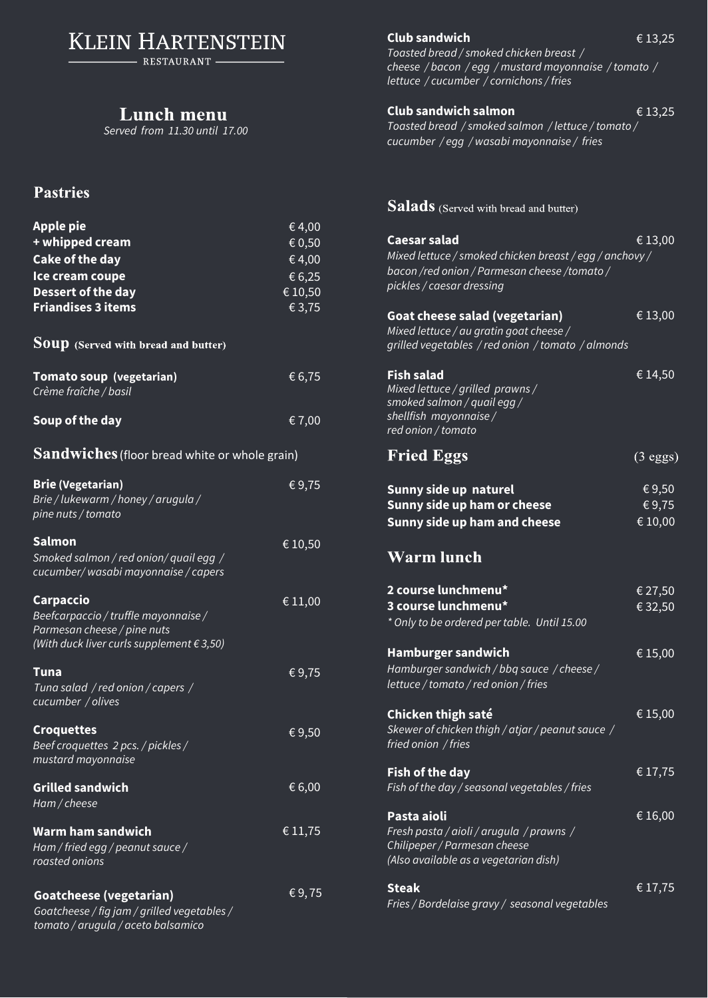**KLEIN HARTENSTEIN** 

- RESTAURANT -

## *Served from 11.30 until 17.00*

## **Pastries**

| <b>Apple pie</b><br>+ whipped cream<br><b>Cake of the day</b><br>Ice cream coupe<br>Dessert of the day<br><b>Friandises 3 items</b>    | €4,00<br>€ 0,50<br>€4,00<br>€6,25<br>€ 10,50<br>€3,75 |  |  |  |
|----------------------------------------------------------------------------------------------------------------------------------------|-------------------------------------------------------|--|--|--|
| <b>Soup</b> (Served with bread and butter)                                                                                             |                                                       |  |  |  |
| Tomato soup (vegetarian)<br>Crème fraîche / basil                                                                                      | €6,75                                                 |  |  |  |
| Soup of the day                                                                                                                        | € 7,00                                                |  |  |  |
| Sandwiches (floor bread white or whole grain)                                                                                          |                                                       |  |  |  |
| <b>Brie (Vegetarian)</b><br>Brie / lukewarm / honey / arugula /<br>pine nuts / tomato                                                  | €9,75                                                 |  |  |  |
| <b>Salmon</b><br>Smoked salmon / red onion/ quail egg /<br>cucumber/wasabi mayonnaise/capers                                           | € 10,50                                               |  |  |  |
| Carpaccio<br>Beefcarpaccio / truffle mayonnaise /<br>Parmesan cheese / pine nuts<br>(With duck liver curls supplement $\epsilon$ 3,50) | € 11,00                                               |  |  |  |
| Tuna<br>Tuna salad / red onion / capers /<br>cucumber / olives                                                                         | €9,75                                                 |  |  |  |
| <b>Croquettes</b><br>Beef croquettes 2 pcs. / pickles /<br>mustard mayonnaise                                                          | €9,50                                                 |  |  |  |
| <b>Grilled sandwich</b><br>Ham / cheese                                                                                                | € 6,00                                                |  |  |  |
| Warm ham sandwich<br>Ham / fried egg / peanut sauce /<br>roasted onions                                                                | € 11,75                                               |  |  |  |
| <b>Goatcheese (vegetarian)</b><br>Goatcheese / fig jam / grilled vegetables /<br>tomato / arugula / aceto balsamico                    | €9,75                                                 |  |  |  |

**Club sandwich** € 13,25

*Toasted bread / smoked chicken breast / cheese / bacon / egg / mustard mayonnaise / tomato / lettuce / cucumber / cornichons / fries* 

## **Club sandwich salmon** € 13,25

*Toasted bread / smoked salmon / lettuce / tomato / cucumber / egg / wasabi mayonnaise / fries* 

## Salads (Served with bread and butter)

| <b>Caesar salad</b><br>Mixed lettuce / smoked chicken breast / egg / anchovy /<br>bacon /red onion / Parmesan cheese /tomato /<br>pickles / caesar dressing | €13,00                                            |
|-------------------------------------------------------------------------------------------------------------------------------------------------------------|---------------------------------------------------|
| <b>Goat cheese salad (vegetarian)</b><br>Mixed lettuce / au gratin goat cheese /<br>grilled vegetables / red onion / tomato / almonds                       | €13,00                                            |
| <b>Fish salad</b><br>Mixed lettuce / grilled prawns /<br>smoked salmon / quail egg /<br>shellfish mayonnaise/<br>red onion / tomato                         | € 14,50                                           |
| <b>Fried Eggs</b>                                                                                                                                           | $(3 \text{ eggs})$                                |
| Sunny side up naturel<br>Sunny side up ham or cheese<br>Sunny side up ham and cheese                                                                        | €9,50<br>$\overline{\mathcal{E}}$ 9,75<br>€ 10,00 |
| <b>Warm lunch</b>                                                                                                                                           |                                                   |
| 2 course lunchmenu*<br>3 course lunchmenu*<br>* Only to be ordered per table. Until 15.00                                                                   | € 27,50<br>€ 32,50                                |
| <b>Hamburger sandwich</b><br>Hamburger sandwich / bbq sauce / cheese /<br>lettuce / tomato / red onion / fries                                              | € 15,00                                           |
| Chicken thigh saté<br>Skewer of chicken thigh / atjar / peanut sauce /<br>fried onion / fries                                                               | € 15,00                                           |
| <b>Fish of the day</b><br>Fish of the day / seasonal vegetables / fries                                                                                     | € 17,75                                           |
| Pasta aioli<br>Fresh pasta / aioli / arugula / prawns /<br>Chilipeper / Parmesan cheese<br>(Also available as a vegetarian dish)                            | € 16,00                                           |
| <b>Steak</b><br>Fries / Bordelaise gravy / seasonal vegetables                                                                                              | €17,75                                            |